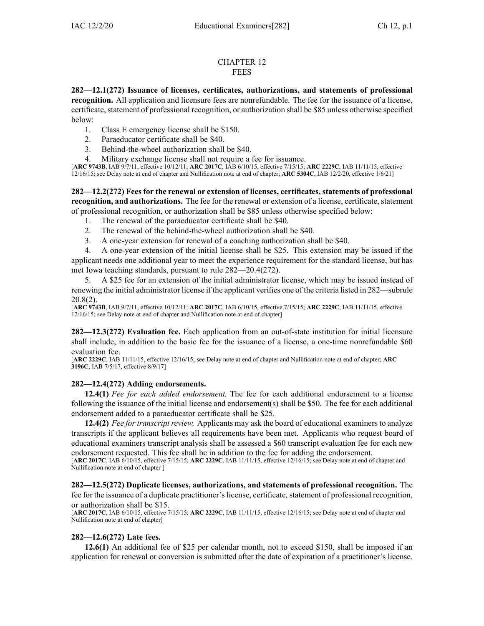## CHAPTER 12 **FEES**

**282—12.1(272) Issuance of licenses, certificates, authorizations, and statements of professional recognition.** All application and licensure fees are nonrefundable. The fee for the issuance of <sup>a</sup> license, certificate, statement of professional recognition, or authorization shall be \$85 unless otherwise specified below:

- 1. Class E emergency license shall be \$150.
- 2. Paraeducator certificate shall be \$40.
- 3. Behind-the-wheel authorization shall be \$40.
- 4. Military exchange license shall not require <sup>a</sup> fee for issuance.

[**ARC [9743B](https://www.legis.iowa.gov/docs/aco/arc/9743B.pdf)**, IAB 9/7/11, effective 10/12/11; **ARC [2017C](https://www.legis.iowa.gov/docs/aco/arc/2017C.pdf)**, IAB 6/10/15, effective 7/15/15; **ARC [2229C](https://www.legis.iowa.gov/docs/aco/arc/2229C.pdf)**, IAB 11/11/15, effective 12/16/15; see Delay note at end of chapter and Nullification note at end of chapter; **ARC [5304C](https://www.legis.iowa.gov/docs/aco/arc/5304C.pdf)**, IAB 12/2/20, effective 1/6/21]

**282—12.2(272) Fees for the renewal or extension of licenses, certificates, statements of professional recognition, and authorizations.** The fee for the renewal or extension of <sup>a</sup> license, certificate, statement of professional recognition, or authorization shall be \$85 unless otherwise specified below:

- 1. The renewal of the paraeducator certificate shall be \$40.
- 2. The renewal of the behind-the-wheel authorization shall be \$40.
- 3. A one-year extension for renewal of <sup>a</sup> coaching authorization shall be \$40.

4. A one-year extension of the initial license shall be \$25. This extension may be issued if the applicant needs one additional year to meet the experience requirement for the standard license, but has met Iowa teaching standards, pursuan<sup>t</sup> to rule 282—20.4(272).

5. A \$25 fee for an extension of the initial administrator license, which may be issued instead of renewing the initial administrator license if the applicant verifies one of the criteria listed in 282—subrule 20.8(2).

[**ARC [9743B](https://www.legis.iowa.gov/docs/aco/arc/9743B.pdf)**, IAB 9/7/11, effective 10/12/11; **ARC [2017C](https://www.legis.iowa.gov/docs/aco/arc/2017C.pdf)**, IAB 6/10/15, effective 7/15/15; **ARC [2229C](https://www.legis.iowa.gov/docs/aco/arc/2229C.pdf)**, IAB 11/11/15, effective 12/16/15; see Delay note at end of chapter and Nullification note at end of chapter]

**282—12.3(272) Evaluation fee.** Each application from an out-of-state institution for initial licensure shall include, in addition to the basic fee for the issuance of <sup>a</sup> license, <sup>a</sup> one-time nonrefundable \$60 evaluation fee.

[**ARC [2229C](https://www.legis.iowa.gov/docs/aco/arc/2229C.pdf)**, IAB 11/11/15, effective 12/16/15; see Delay note at end of chapter and Nullification note at end of chapter; **[ARC](https://www.legis.iowa.gov/docs/aco/arc/3196C.pdf) [3196C](https://www.legis.iowa.gov/docs/aco/arc/3196C.pdf)**, IAB 7/5/17, effective 8/9/17]

## **282—12.4(272) Adding endorsements.**

**12.4(1)** *Fee for each added endorsement.* The fee for each additional endorsement to <sup>a</sup> license following the issuance of the initial license and endorsement(s) shall be \$50. The fee for each additional endorsement added to <sup>a</sup> paraeducator certificate shall be \$25.

**12.4(2)** *Fee for transcript review.* Applicants may ask the board of educational examiners to analyze transcripts if the applicant believes all requirements have been met. Applicants who reques<sup>t</sup> board of educational examiners transcript analysis shall be assessed <sup>a</sup> \$60 transcript evaluation fee for each new endorsement requested. This fee shall be in addition to the fee for adding the endorsement.

[**ARC [2017C](https://www.legis.iowa.gov/docs/aco/arc/2017C.pdf)**, IAB 6/10/15, effective 7/15/15; **ARC [2229C](https://www.legis.iowa.gov/docs/aco/arc/2229C.pdf)**, IAB 11/11/15, effective 12/16/15; see Delay note at end of chapter and Nullification note at end of chapter ]

**282—12.5(272) Duplicate licenses, authorizations, and statements of professional recognition.** The fee for the issuance of <sup>a</sup> duplicate practitioner'slicense, certificate, statement of professional recognition, or authorization shall be \$15.

[**ARC [2017C](https://www.legis.iowa.gov/docs/aco/arc/2017C.pdf)**, IAB 6/10/15, effective 7/15/15; **ARC [2229C](https://www.legis.iowa.gov/docs/aco/arc/2229C.pdf)**, IAB 11/11/15, effective 12/16/15; see Delay note at end of chapter and Nullification note at end of chapter]

## **282—12.6(272) Late fees.**

**12.6(1)** An additional fee of \$25 per calendar month, not to exceed \$150, shall be imposed if an application for renewal or conversion is submitted after the date of expiration of <sup>a</sup> practitioner's license.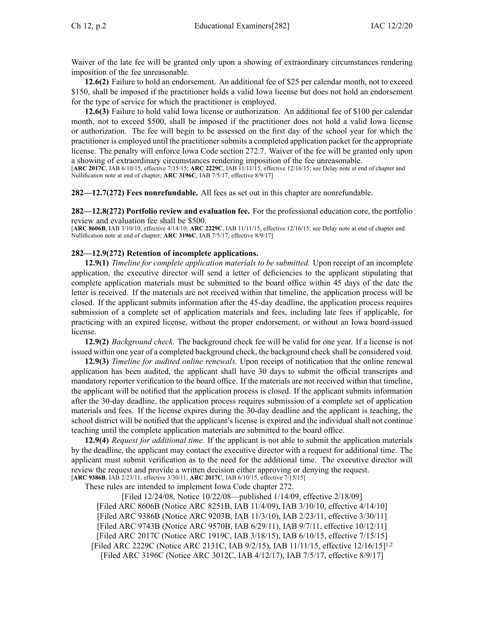Waiver of the late fee will be granted only upon <sup>a</sup> showing of extraordinary circumstances rendering imposition of the fee unreasonable.

**12.6(2)** Failure to hold an endorsement. An additional fee of \$25 per calendar month, not to exceed \$150, shall be imposed if the practitioner holds <sup>a</sup> valid Iowa license but does not hold an endorsement for the type of service for which the practitioner is employed.

**12.6(3)** Failure to hold valid Iowa license or authorization. An additional fee of \$100 per calendar month, not to exceed \$500, shall be imposed if the practitioner does not hold <sup>a</sup> valid Iowa license or authorization. The fee will begin to be assessed on the first day of the school year for which the practitioner is employed until the practitioner submits <sup>a</sup> completed application packet for the appropriate license. The penalty will enforce Iowa Code section [272.7](https://www.legis.iowa.gov/docs/ico/section/272.7.pdf). Waiver of the fee will be granted only upon <sup>a</sup> showing of extraordinary circumstances rendering imposition of the fee unreasonable.

[**ARC [2017C](https://www.legis.iowa.gov/docs/aco/arc/2017C.pdf)**, IAB 6/10/15, effective 7/15/15; **ARC [2229C](https://www.legis.iowa.gov/docs/aco/arc/2229C.pdf)**, IAB 11/11/15, effective 12/16/15; see Delay note at end of chapter and Nullification note at end of chapter; **ARC [3196C](https://www.legis.iowa.gov/docs/aco/arc/3196C.pdf)**, IAB 7/5/17, effective 8/9/17]

**282—12.7(272) Fees nonrefundable.** All fees as set out in this chapter are nonrefundable.

**282—12.8(272) Portfolio review and evaluation fee.** For the professional education core, the portfolio review and evaluation fee shall be \$500.

[**ARC [8606B](https://www.legis.iowa.gov/docs/aco/arc/8606B.pdf)**, IAB 3/10/10, effective 4/14/10; **ARC [2229C](https://www.legis.iowa.gov/docs/aco/arc/2229C.pdf)**, IAB 11/11/15, effective 12/16/15; see Delay note at end of chapter and Nullification note at end of chapter; **ARC [3196C](https://www.legis.iowa.gov/docs/aco/arc/3196C.pdf)**, IAB 7/5/17, effective 8/9/17]

## **282—12.9(272) Retention of incomplete applications.**

**12.9(1)** *Timeline for complete application materials to be submitted.* Upon receipt of an incomplete application, the executive director will send <sup>a</sup> letter of deficiencies to the applicant stipulating that complete application materials must be submitted to the board office within 45 days of the date the letter is received. If the materials are not received within that timeline, the application process will be closed. If the applicant submits information after the 45-day deadline, the application process requires submission of <sup>a</sup> complete set of application materials and fees, including late fees if applicable, for practicing with an expired license, without the proper endorsement, or without an Iowa board-issued license.

**12.9(2)** *Background check.* The background check fee will be valid for one year. If <sup>a</sup> license is not issued within one year of <sup>a</sup> completed background check, the background check shall be considered void.

**12.9(3)** *Timeline for audited online renewals.* Upon receipt of notification that the online renewal application has been audited, the applicant shall have 30 days to submit the official transcripts and mandatory reporter verification to the board office. If the materials are not received within that timeline, the applicant will be notified that the application process is closed. If the applicant submits information after the 30-day deadline, the application process requires submission of <sup>a</sup> complete set of application materials and fees. If the license expires during the 30-day deadline and the applicant is teaching, the school district will be notified that the applicant's license is expired and the individual shall not continue teaching until the complete application materials are submitted to the board office.

**12.9(4)** *Request for additional time.* If the applicant is not able to submit the application materials by the deadline, the applicant may contact the executive director with <sup>a</sup> reques<sup>t</sup> for additional time. The applicant must submit verification as to the need for the additional time. The executive director will review the reques<sup>t</sup> and provide <sup>a</sup> written decision either approving or denying the request. [**ARC [9386B](https://www.legis.iowa.gov/docs/aco/arc/9386B.pdf)**, IAB 2/23/11, effective 3/30/11; **ARC [2017C](https://www.legis.iowa.gov/docs/aco/arc/2017C.pdf)**, IAB 6/10/15, effective 7/15/15]

These rules are intended to implement Iowa Code chapter [272](https://www.legis.iowa.gov/docs/ico/chapter/272.pdf).

[Filed 12/24/08, Notice 10/22/08—published 1/14/09, effective 2/18/09] [Filed ARC [8606B](https://www.legis.iowa.gov/docs/aco/arc/8606B.pdf) [\(Notice](https://www.legis.iowa.gov/docs/aco/arc/8251B.pdf) ARC 8251B, IAB 11/4/09), IAB 3/10/10, effective 4/14/10] [[Filed](https://www.legis.iowa.gov/docs/aco/arc/9386B.pdf) ARC 9386B ([Notice](https://www.legis.iowa.gov/docs/aco/arc/9203B.pdf) ARC 9203B, IAB 11/3/10), IAB 2/23/11, effective 3/30/11] [[Filed](https://www.legis.iowa.gov/docs/aco/arc/9743B.pdf) ARC 9743B ([Notice](https://www.legis.iowa.gov/docs/aco/arc/9570B.pdf) ARC 9570B, IAB 6/29/11), IAB 9/7/11, effective 10/12/11] [Filed ARC [2017C](https://www.legis.iowa.gov/docs/aco/arc/2017C.pdf) ([Notice](https://www.legis.iowa.gov/docs/aco/arc/1919C.pdf) ARC 1919C, IAB 3/18/15), IAB 6/10/15, effective 7/15/15] [[Filed](https://www.legis.iowa.gov/docs/aco/arc/2229C.pdf) ARC 2229C ([Notice](https://www.legis.iowa.gov/docs/aco/arc/2131C.pdf) ARC 2131C, IAB 9/2/15), IAB 11/11/15, effective 12/16/15]1,2 [Filed ARC [3196C](https://www.legis.iowa.gov/docs/aco/arc/3196C.pdf) [\(Notice](https://www.legis.iowa.gov/docs/aco/arc/3012C.pdf) ARC 3012C, IAB 4/12/17), IAB 7/5/17, effective 8/9/17]